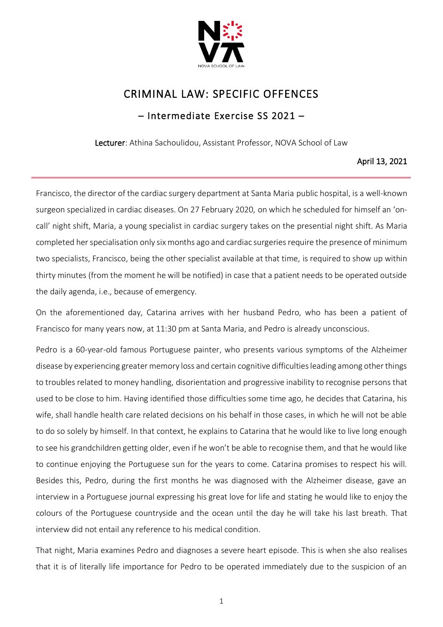

## CRIMINAL LAW: SPECIFIC OFFENCES

## – Intermediate Exercise SS 2021 –

Lecturer: Athina Sachoulidou, Assistant Professor, NOVA School of Law

## April 13, 2021

Francisco, the director of the cardiac surgery department at Santa Maria public hospital, is a well-known surgeon specialized in cardiac diseases. On 27 February 2020, on which he scheduled for himself an 'oncall' night shift, Maria, a young specialist in cardiac surgery takes on the presential night shift. As Maria completed her specialisation only six months ago and cardiac surgeries require the presence of minimum two specialists, Francisco, being the other specialist available at that time, is required to show up within thirty minutes (from the moment he will be notified) in case that a patient needs to be operated outside the daily agenda, i.e., because of emergency.

On the aforementioned day, Catarina arrives with her husband Pedro, who has been a patient of Francisco for many years now, at 11:30 pm at Santa Maria, and Pedro is already unconscious.

Pedro is a 60-year-old famous Portuguese painter, who presents various symptoms of the Alzheimer disease by experiencing greater memory loss and certain cognitive difficulties leading among other things to troubles related to money handling, disorientation and progressive inability to recognise persons that used to be close to him. Having identified those difficulties some time ago, he decides that Catarina, his wife, shall handle health care related decisions on his behalf in those cases, in which he will not be able to do so solely by himself. In that context, he explains to Catarina that he would like to live long enough to see his grandchildren getting older, even if he won't be able to recognise them, and that he would like to continue enjoying the Portuguese sun for the years to come. Catarina promises to respect his will. Besides this, Pedro, during the first months he was diagnosed with the Alzheimer disease, gave an interview in a Portuguese journal expressing his great love for life and stating he would like to enjoy the colours of the Portuguese countryside and the ocean until the day he will take his last breath. That interview did not entail any reference to his medical condition.

That night, Maria examines Pedro and diagnoses a severe heart episode. This is when she also realises that it is of literally life importance for Pedro to be operated immediately due to the suspicion of an